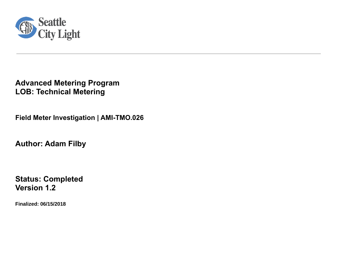

**Advanced Metering Program LOB: Technical Metering** 

**Field Meter Investigation | AMI-TMO.026**

**Author: Adam Filby**

**Status: Completed Version 1.2**

**Finalized: 06/15/2018**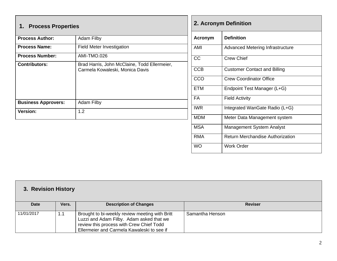| 1. Process Properties      |                                                                                 |  |  |  |  |  |
|----------------------------|---------------------------------------------------------------------------------|--|--|--|--|--|
| <b>Process Author:</b>     | <b>Adam Filby</b>                                                               |  |  |  |  |  |
| <b>Process Name:</b>       | <b>Field Meter Investigation</b>                                                |  |  |  |  |  |
| <b>Process Number:</b>     | AMI-TMO.026                                                                     |  |  |  |  |  |
| <b>Contributors:</b>       | Brad Harris, John McClaine, Todd Ellermeier,<br>Carmela Kowaleski, Monica Davis |  |  |  |  |  |
| <b>Business Approvers:</b> | <b>Adam Filby</b>                                                               |  |  |  |  |  |
| <b>Version:</b>            | 1.2                                                                             |  |  |  |  |  |

Г

| 2. Acronym Definition |                                         |  |  |
|-----------------------|-----------------------------------------|--|--|
| <b>Acronym</b>        | <b>Definition</b>                       |  |  |
| AMI                   | <b>Advanced Metering Infrastructure</b> |  |  |
| CC                    | <b>Crew Chief</b>                       |  |  |
| <b>CCB</b>            | <b>Customer Contact and Billing</b>     |  |  |
| CCO                   | Crew Coordinator Office                 |  |  |
| <b>ETM</b>            | Endpoint Test Manager (L+G)             |  |  |
| <b>FA</b>             | <b>Field Activity</b>                   |  |  |
| IWR                   | Integrated WanGate Radio (L+G)          |  |  |
| <b>MDM</b>            | Meter Data Management system            |  |  |
| <b>MSA</b>            | <b>Management System Analyst</b>        |  |  |
| RMA                   | <b>Return Merchandise Authorization</b> |  |  |
| <b>WO</b>             | <b>Work Order</b>                       |  |  |

| 3. Revision History |       |                                                                                                                                                                                      |                 |  |  |  |
|---------------------|-------|--------------------------------------------------------------------------------------------------------------------------------------------------------------------------------------|-----------------|--|--|--|
| <b>Date</b>         | Vers. | <b>Description of Changes</b>                                                                                                                                                        | <b>Reviser</b>  |  |  |  |
| 11/01/2017          | 1.1   | Brought to bi-weekly review meeting with Britt<br>Luzzi and Adam Filby. Adam asked that we<br>review this process with Crew Chief Todd<br>Ellermeier and Carmela Kawaleski to see if | Samantha Henson |  |  |  |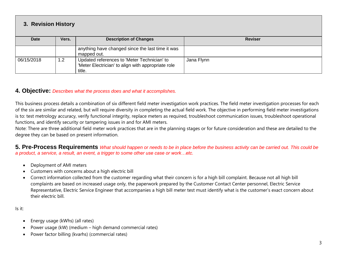## **3. Revision History**

| <b>Date</b> | Vers. | <b>Description of Changes</b>                                                                               | <b>Reviser</b> |
|-------------|-------|-------------------------------------------------------------------------------------------------------------|----------------|
|             |       |                                                                                                             |                |
|             |       | anything have changed since the last time it was<br>mapped out.                                             |                |
| 06/15/2018  | 1.2   | Updated references to 'Meter Technician' to<br>'Meter Electrician' to align with appropriate role<br>title. | Jana Flynn     |

## **4. Objective:** *Describes what the process does and what it accomplishes.*

This business process details a combination of six different field meter investigation work practices. The field meter investigation processes for each of the six are similar and related, but will require diversity in completing the actual field work. The objective in performing field meter investigations is to: test metrology accuracy, verify functional integrity, replace meters as required, troubleshoot communication issues, troubleshoot operational functions, and identify security or tampering issues in and for AMI meters.

Note: There are three additional field meter work practices that are in the planning stages or for future consideration and these are detailed to the degree they can be based on present information.

**5. Pre-Process Requirements** *What should happen or needs to be in place before the business activity can be carried out. This could be a product, a service, a result, an event, a trigger to some other use case or work…etc.*

- Deployment of AMI meters
- Customers with concerns about a high electric bill
- Correct information collected from the customer regarding what their concern is for a high bill complaint. Because not all high bill complaints are based on increased usage only, the paperwork prepared by the Customer Contact Center personnel, Electric Service Representative, Electric Service Engineer that accompanies a high bill meter test must identify what is the customer's exact concern about their electric bill.

Is it:

- Energy usage (kWhs) (all rates)
- Power usage (kW) (medium high demand commercial rates)
- Power factor billing (kvarhs) (commercial rates)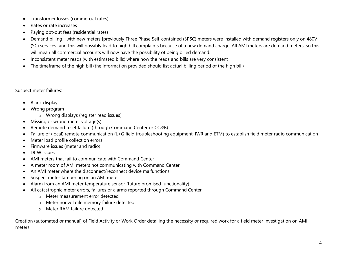- Transformer losses (commercial rates)
- Rates or rate increases
- Paying opt-out fees (residential rates)
- Demand billing with new meters [previously Three Phase Self-contained (3PSC) meters were installed with demand registers only on 480V (SC) services] and this will possibly lead to high bill complaints because of a new demand charge. All AMI meters are demand meters, so this will mean all commercial accounts will now have the possibility of being billed demand.
- Inconsistent meter reads (with estimated bills) where now the reads and bills are very consistent
- The timeframe of the high bill (the information provided should list actual billing period of the high bill)

Suspect meter failures:

- Blank display
- Wrong program
	- o Wrong displays (register read issues)
- Missing or wrong meter voltage(s)
- Remote demand reset failure (through Command Center or CC&B)
- Failure of (local) remote communication (L+G field troubleshooting equipment, IWR and ETM) to establish field meter radio communication
- Meter load profile collection errors
- Firmware issues (meter and radio)
- DCW issues
- AMI meters that fail to communicate with Command Center
- A meter room of AMI meters not communicating with Command Center
- An AMI meter where the disconnect/reconnect device malfunctions
- Suspect meter tampering on an AMI meter
- Alarm from an AMI meter temperature sensor (future promised functionality)
- All catastrophic meter errors, failures or alarms reported through Command Center
	- o Meter measurement error detected
	- o Meter nonvolatile memory failure detected
	- o Meter RAM failure detected

Creation (automated or manual) of Field Activity or Work Order detailing the necessity or required work for a field meter investigation on AMI meters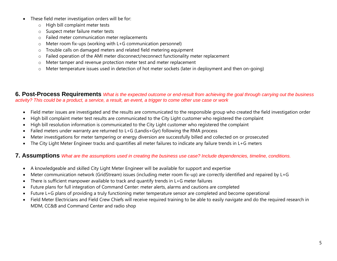- These field meter investigation orders will be for:
	- o High bill complaint meter tests
	- o Suspect meter failure meter tests
	- o Failed meter communication meter replacements
	- o Meter room fix-ups (working with L+G communication personnel)
	- o Trouble calls on damaged meters and related field metering equipment
	- o Failed operation of the AMI meter disconnect/reconnect functionality meter replacement
	- o Meter tamper and revenue protection meter test and meter replacement
	- $\circ$  Meter temperature issues used in detection of hot meter sockets (later in deployment and then on-going)

**6. Post-Process Requirements** *What is the expected outcome or end-result from achieving the goal through carrying out the business activity? This could be a product, a service, a result, an event, a trigger to come other use case or work*

- Field meter issues are investigated and the results are communicated to the responsible group who created the field investigation order
- High bill complaint meter test results are communicated to the City Light customer who registered the complaint
- High bill resolution information is communicated to the City Light customer who registered the complaint
- Failed meters under warranty are returned to L+G (Landis+Gyr) following the RMA process
- Meter investigations for meter tampering or energy diversion are successfully billed and collected on or prosecuted
- The City Light Meter Engineer tracks and quantifies all meter failures to indicate any failure trends in L+G meters

## **7. Assumptions** *What are the assumptions used in creating the business use case? Include dependencies, timeline, conditions.*

- A knowledgeable and skilled City Light Meter Engineer will be available for support and expertise
- Meter communication network (GridStream) issues (including meter room fix-up) are correctly identified and repaired by L+G
- There is sufficient manpower available to track and quantify trends in L+G meter failures
- Future plans for full integration of Command Center: meter alerts, alarms and cautions are completed
- Future L+G plans of providing a truly functioning meter temperature sensor are completed and become operational
- Field Meter Electricians and Field Crew Chiefs will receive required training to be able to easily navigate and do the required research in MDM, CC&B and Command Center and radio shop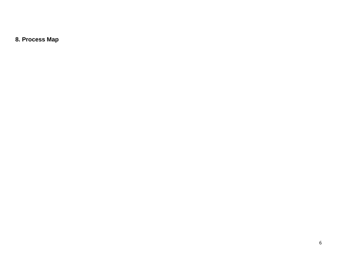**8. Process Map**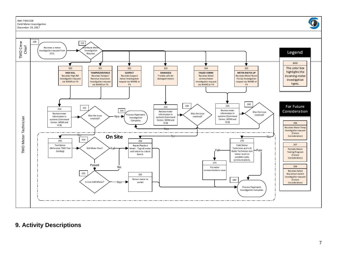

## **9 . Activity Descriptions**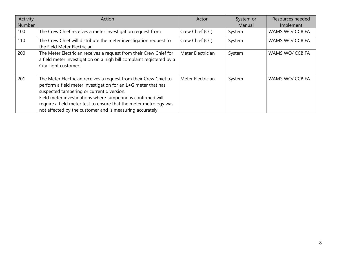| Activity<br>Number | Action                                                                                                                                                                                                                                                                                                                                                                           | Actor             | System or<br>Manual | Resources needed<br>Implement |
|--------------------|----------------------------------------------------------------------------------------------------------------------------------------------------------------------------------------------------------------------------------------------------------------------------------------------------------------------------------------------------------------------------------|-------------------|---------------------|-------------------------------|
| 100                | The Crew Chief receives a meter investigation request from                                                                                                                                                                                                                                                                                                                       | Crew Chief (CC)   | System              | WAMS WO/ CCB FA               |
| 110                | The Crew Chief will distribute the meter investigation request to<br>the Field Meter Electrician                                                                                                                                                                                                                                                                                 | Crew Chief (CC)   | System              | WAMS WO/ CCB FA               |
| 200                | The Meter Electrician receives a request from their Crew Chief for<br>a field meter investigation on a high bill complaint registered by a<br>City Light customer.                                                                                                                                                                                                               | Meter Electrician | System              | WAMS WO/ CCB FA               |
| 201                | The Meter Electrician receives a request from their Crew Chief to<br>perform a field meter investigation for an L+G meter that has<br>suspected tampering or current diversion.<br>Field meter investigations where tampering is confirmed will<br>require a field meter test to ensure that the meter metrology was<br>not affected by the customer and is measuring accurately | Meter Electrician | System              | WAMS WO/ CCB FA               |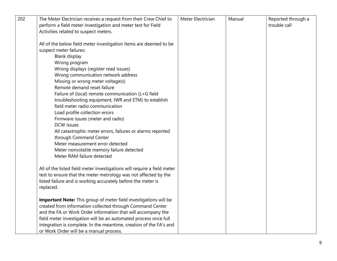| 202 | The Meter Electrician receives a request from their Crew Chief to       | Meter Electrician | Manual | Reported through a |
|-----|-------------------------------------------------------------------------|-------------------|--------|--------------------|
|     | perform a field meter investigation and meter test for Field            |                   |        | trouble call       |
|     | Activities related to suspect meters.                                   |                   |        |                    |
|     |                                                                         |                   |        |                    |
|     | All of the below field meter investigation items are deemed to be       |                   |        |                    |
|     | suspect meter failures:                                                 |                   |        |                    |
|     | <b>Blank display</b>                                                    |                   |        |                    |
|     | Wrong program                                                           |                   |        |                    |
|     | Wrong displays (register read issues)                                   |                   |        |                    |
|     | Wrong communication network address                                     |                   |        |                    |
|     | Missing or wrong meter voltage(s)                                       |                   |        |                    |
|     | Remote demand reset failure                                             |                   |        |                    |
|     | Failure of (local) remote communication (L+G field                      |                   |        |                    |
|     | troubleshooting equipment, IWR and ETM) to establish                    |                   |        |                    |
|     | field meter radio communication                                         |                   |        |                    |
|     | Load profile collection errors                                          |                   |        |                    |
|     | Firmware issues (meter and radio)                                       |                   |        |                    |
|     | <b>DCW</b> issues                                                       |                   |        |                    |
|     | All catastrophic meter errors, failures or alarms reported              |                   |        |                    |
|     | through Command Center                                                  |                   |        |                    |
|     | Meter measurement error detected                                        |                   |        |                    |
|     | Meter nonvolatile memory failure detected                               |                   |        |                    |
|     | Meter RAM failure detected                                              |                   |        |                    |
|     |                                                                         |                   |        |                    |
|     | All of the listed field meter investigations will require a field meter |                   |        |                    |
|     | test to ensure that the meter metrology was not affected by the         |                   |        |                    |
|     | listed failure and is working accurately before the meter is            |                   |        |                    |
|     | replaced.                                                               |                   |        |                    |
|     | Important Note: This group of meter field investigations will be        |                   |        |                    |
|     | created from information collected through Command Center               |                   |        |                    |
|     | and the FA or Work Order information that will accompany the            |                   |        |                    |
|     | field meter investigation will be an automated process once full        |                   |        |                    |
|     | integration is complete. In the meantime, creation of the FA's and      |                   |        |                    |
|     | or Work Order will be a manual process.                                 |                   |        |                    |
|     |                                                                         |                   |        |                    |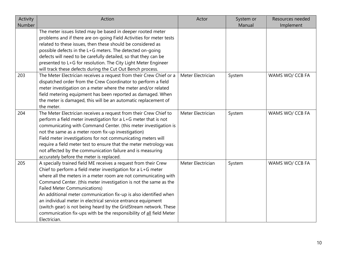| Activity | Action                                                              | Actor             | System or | Resources needed |
|----------|---------------------------------------------------------------------|-------------------|-----------|------------------|
| Number   |                                                                     |                   | Manual    | Implement        |
|          | The meter issues listed may be based in deeper rooted meter         |                   |           |                  |
|          | problems and if there are on-going Field Activities for meter tests |                   |           |                  |
|          | related to these issues, then these should be considered as         |                   |           |                  |
|          | possible defects in the L+G meters. The detected on-going           |                   |           |                  |
|          | defects will need to be carefully detailed, so that they can be     |                   |           |                  |
|          | presented to L+G for resolution. The City Light Meter Engineer      |                   |           |                  |
|          | will track these defects during the Cut Out Bench process.          |                   |           |                  |
| 203      | The Meter Electrician receives a request from their Crew Chief or a | Meter Electrician | System    | WAMS WO/ CCB FA  |
|          | dispatched order from the Crew Coordinator to perform a field       |                   |           |                  |
|          | meter investigation on a meter where the meter and/or related       |                   |           |                  |
|          | field metering equipment has been reported as damaged. When         |                   |           |                  |
|          | the meter is damaged, this will be an automatic replacement of      |                   |           |                  |
|          | the meter.                                                          |                   |           |                  |
| 204      | The Meter Electrician receives a request from their Crew Chief to   | Meter Electrician | System    | WAMS WO/ CCB FA  |
|          | perform a field meter investigation for a L+G meter that is not     |                   |           |                  |
|          | communicating with Command Center. (this meter investigation is     |                   |           |                  |
|          | not the same as a meter room fix-up investigation)                  |                   |           |                  |
|          | Field meter investigations for not communicating meters will        |                   |           |                  |
|          | require a field meter test to ensure that the meter metrology was   |                   |           |                  |
|          | not affected by the communication failure and is measuring          |                   |           |                  |
|          | accurately before the meter is replaced.                            |                   |           |                  |
| 205      | A specially trained field ME receives a request from their Crew     | Meter Electrician | System    | WAMS WO/ CCB FA  |
|          | Chief to perform a field meter investigation for a L+G meter        |                   |           |                  |
|          | where all the meters in a meter room are not communicating with     |                   |           |                  |
|          | Command Center. (this meter investigation is not the same as the    |                   |           |                  |
|          | <b>Failed Meter Communications)</b>                                 |                   |           |                  |
|          | An additional meter communication fix-up is also identified when    |                   |           |                  |
|          | an individual meter in electrical service entrance equipment        |                   |           |                  |
|          | (switch gear) is not being heard by the GridStream network. These   |                   |           |                  |
|          | communication fix-ups with be the responsibility of all field Meter |                   |           |                  |
|          | Electrician.                                                        |                   |           |                  |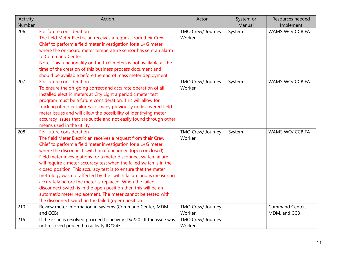| Activity | Action                                                                | Actor             | System or | Resources needed |
|----------|-----------------------------------------------------------------------|-------------------|-----------|------------------|
| Number   |                                                                       |                   | Manual    | Implement        |
| 206      | For future consideration                                              | TMO Crew/ Journey | System    | WAMS WO/ CCB FA  |
|          | The field Meter Electrician receives a request from their Crew        | Worker            |           |                  |
|          | Chief to perform a field meter investigation for a L+G meter          |                   |           |                  |
|          | where the on-board meter temperature sensor has sent an alarm         |                   |           |                  |
|          | to Command Center.                                                    |                   |           |                  |
|          | Note: This functionality on the L+G meters is not available at the    |                   |           |                  |
|          | time of the creation of this business process document and            |                   |           |                  |
|          | should be available before the end of mass meter deployment.          |                   |           |                  |
| 207      | For future consideration                                              | TMO Crew/ Journey | System    | WAMS WO/ CCB FA  |
|          | To ensure the on-going correct and accurate operation of all          | Worker            |           |                  |
|          | installed electric meters at City Light a periodic meter test         |                   |           |                  |
|          | program must be a future consideration. This will allow for           |                   |           |                  |
|          | tracking of meter failures for many previously undiscovered field     |                   |           |                  |
|          | meter issues and will allow the possibility of identifying meter      |                   |           |                  |
|          | accuracy issues that are subtle and not easily found through other    |                   |           |                  |
|          | means used in the utility.                                            |                   |           |                  |
| 208      | For future consideration                                              | TMO Crew/ Journey | System    | WAMS WO/ CCB FA  |
|          | The field Meter Electrician receives a request from their Crew        | Worker            |           |                  |
|          | Chief to perform a field meter investigation for a L+G meter          |                   |           |                  |
|          | where the disconnect switch malfunctioned (open or closed).           |                   |           |                  |
|          | Field meter investigations for a meter disconnect switch failure      |                   |           |                  |
|          | will require a meter accuracy test when the failed switch is in the   |                   |           |                  |
|          | closed position. This accuracy test is to ensure that the meter       |                   |           |                  |
|          | metrology was not affected by the switch failure and is measuring     |                   |           |                  |
|          | accurately before the meter is replaced. When the failed              |                   |           |                  |
|          | disconnect switch is in the open position then this will be an        |                   |           |                  |
|          | automatic meter replacement. The meter cannot be tested with          |                   |           |                  |
|          | the disconnect switch in the failed (open) position.                  |                   |           |                  |
| 210      | Review meter information in systems (Command Center, MDM              | TMO Crew/ Journey |           | Command Center,  |
|          | and CCB)                                                              | Worker            |           | MDM, and CCB     |
| 215      | If the issue is resolved proceed to activity ID#220. If the issue was | TMO Crew/ Journey |           |                  |
|          | not resolved proceed to activity ID#245.                              | Worker            |           |                  |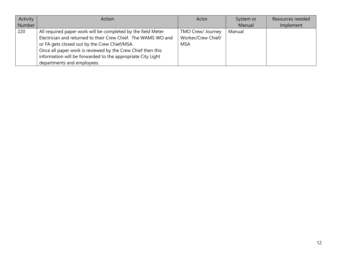| Activity | Action                                                        | Actor              | System or | Resources needed |
|----------|---------------------------------------------------------------|--------------------|-----------|------------------|
| Number   |                                                               |                    | Manual    | Implement        |
| 220      | All required paper work will be completed by the field Meter  | TMO Crew/ Journey  | Manual    |                  |
|          | Electrician and returned to their Crew Chief. The WAMS WO and | Worker/Crew Chief/ |           |                  |
|          | or FA gets closed out by the Crew Chief/MSA.                  | MSA                |           |                  |
|          | Once all paper work is reviewed by the Crew Chief then this   |                    |           |                  |
|          | information will be forwarded to the appropriate City Light   |                    |           |                  |
|          | departments and employees.                                    |                    |           |                  |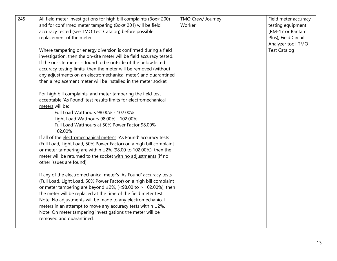| 245 | All field meter investigations for high bill complaints (Box# 200)    | TMO Crew/ Journey | Field meter accuracy |
|-----|-----------------------------------------------------------------------|-------------------|----------------------|
|     | and for confirmed meter tampering (Box# 201) will be field            | Worker            | testing equipment    |
|     | accuracy tested (see TMO Test Catalog) before possible                |                   | (RM-17 or Bantam     |
|     | replacement of the meter.                                             |                   | Plus), Field Circuit |
|     |                                                                       |                   | Analyzer tool, TMO   |
|     | Where tampering or energy diversion is confirmed during a field       |                   | <b>Test Catalog</b>  |
|     | investigation, then the on-site meter will be field accuracy tested.  |                   |                      |
|     | If the on-site meter is found to be outside of the below listed       |                   |                      |
|     | accuracy testing limits, then the meter will be removed (without      |                   |                      |
|     | any adjustments on an electromechanical meter) and quarantined        |                   |                      |
|     | then a replacement meter will be installed in the meter socket.       |                   |                      |
|     |                                                                       |                   |                      |
|     | For high bill complaints, and meter tampering the field test          |                   |                      |
|     | acceptable 'As Found' test results limits for electromechanical       |                   |                      |
|     | meters will be:                                                       |                   |                      |
|     | Full Load Watthours 98.00% - 102.00%                                  |                   |                      |
|     | Light Load Watthours 98.00% - 102.00%                                 |                   |                      |
|     | Full Load Watthours at 50% Power Factor 98.00% -                      |                   |                      |
|     | 102.00%                                                               |                   |                      |
|     | If all of the electromechanical meter's 'As Found' accuracy tests     |                   |                      |
|     | (Full Load, Light Load, 50% Power Factor) on a high bill complaint    |                   |                      |
|     | or meter tampering are within $\pm 2\%$ (98.00 to 102.00%), then the  |                   |                      |
|     | meter will be returned to the socket with no adjustments (if no       |                   |                      |
|     | other issues are found).                                              |                   |                      |
|     |                                                                       |                   |                      |
|     | If any of the electromechanical meter's 'As Found' accuracy tests     |                   |                      |
|     | (Full Load, Light Load, 50% Power Factor) on a high bill complaint    |                   |                      |
|     | or meter tampering are beyond $\pm 2\%$ , (<98.00 to > 102.00%), then |                   |                      |
|     | the meter will be replaced at the time of the field meter test.       |                   |                      |
|     | Note: No adjustments will be made to any electromechanical            |                   |                      |
|     | meters in an attempt to move any accuracy tests within $\pm 2\%$ .    |                   |                      |
|     | Note: On meter tampering investigations the meter will be             |                   |                      |
|     | removed and quarantined.                                              |                   |                      |
|     |                                                                       |                   |                      |
|     |                                                                       |                   |                      |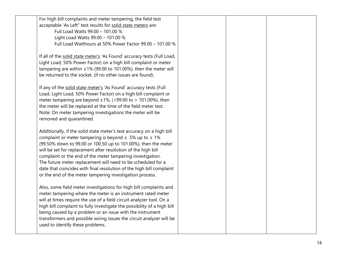| For high bill complaints and meter tampering, the field test            |  |  |
|-------------------------------------------------------------------------|--|--|
| acceptable 'As Left" test results for solid state meters are:           |  |  |
| Full Load Watts 99.00 - 101.00 %                                        |  |  |
| Light Load Watts 99.00 - 101.00 %                                       |  |  |
| Full Load Watthours at 50% Power Factor 99.00 - 101.00 %                |  |  |
|                                                                         |  |  |
| If all of the solid state meter's 'As Found' accuracy tests (Full Load, |  |  |
| Light Load, 50% Power Factor) on a high bill complaint or meter         |  |  |
| tampering are within $\pm 1\%$ (99.00 to 101.00%), then the meter will  |  |  |
| be returned to the socket. (if no other issues are found).              |  |  |
|                                                                         |  |  |
| If any of the solid state meter's 'As Found' accuracy tests (Full       |  |  |
| Load, Light Load, 50% Power Factor) on a high bill complaint or         |  |  |
| meter tampering are beyond $\pm 1\%$ , (<99.00 to > 101.00%), then      |  |  |
| the meter will be replaced at the time of the field meter test.         |  |  |
| Note: On meter tampering investigations the meter will be               |  |  |
| removed and quarantined.                                                |  |  |
|                                                                         |  |  |
| Additionally, if the solid state meter's test accuracy on a high bill   |  |  |
| complaint or meter tampering is beyond $\pm$ .5% up to $\pm$ 1%         |  |  |
| (99.50% down to 99.00 or 100.50 up to 101.00%), then the meter          |  |  |
| will be set for replacement after resolution of the high bill           |  |  |
| complaint or the end of the meter tampering investigation.              |  |  |
| The future meter replacement will need to be scheduled for a            |  |  |
| date that coincides with final resolution of the high bill complaint    |  |  |
| or the end of the meter tampering investigation process.                |  |  |
| Also, some field meter investigations for high bill complaints and      |  |  |
| meter tampering where the meter is an instrument rated meter            |  |  |
| will at times require the use of a field circuit analyzer tool. On a    |  |  |
| high bill complaint to fully investigate the possibility of a high bill |  |  |
| being caused by a problem or an issue with the instrument               |  |  |
| transformers and possible wiring issues the circuit analyzer will be    |  |  |
| used to identify these problems.                                        |  |  |
|                                                                         |  |  |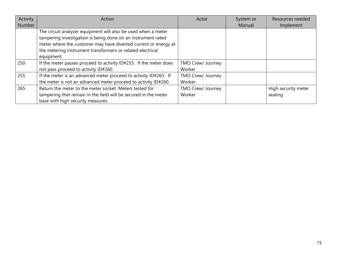| Activity | Action                                                                                                                                                                                                                                                                       | Actor                       | System or | Resources needed               |
|----------|------------------------------------------------------------------------------------------------------------------------------------------------------------------------------------------------------------------------------------------------------------------------------|-----------------------------|-----------|--------------------------------|
| Number   |                                                                                                                                                                                                                                                                              |                             | Manual    | Implement                      |
|          | The circuit analyzer equipment will also be used when a meter<br>tampering investigation is being done on an instrument rated<br>meter where the customer may have diverted current or energy at<br>the metering instrument transformers or related electrical<br>equipment. |                             |           |                                |
| 250      | If the meter passes proceed to activity ID#255. If the meter does<br>not pass proceed to activity ID#260.                                                                                                                                                                    | TMO Crew/ Journey<br>Worker |           |                                |
| 255      | If the meter is an advanced meter proceed to activity ID#265. If<br>the meter is not an advanced meter proceed to activity ID#260.                                                                                                                                           | TMO Crew/ Journey<br>Worker |           |                                |
| 265      | Return the meter to the meter socket. Meters tested for<br>tampering that remain in the field will be secured in the meter<br>base with high security measures.                                                                                                              | TMO Crew/ Journey<br>Worker |           | High security meter<br>sealing |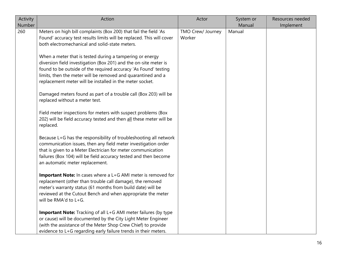| Activity<br>Number | Action                                                                                                                                                                                                                                                                                                                                                                                                                                                                                                                                                                                                                                                                                                                                                                                                                                                                                                                                                                                                                                                                                              | Actor                       | System or<br>Manual | Resources needed<br>Implement |
|--------------------|-----------------------------------------------------------------------------------------------------------------------------------------------------------------------------------------------------------------------------------------------------------------------------------------------------------------------------------------------------------------------------------------------------------------------------------------------------------------------------------------------------------------------------------------------------------------------------------------------------------------------------------------------------------------------------------------------------------------------------------------------------------------------------------------------------------------------------------------------------------------------------------------------------------------------------------------------------------------------------------------------------------------------------------------------------------------------------------------------------|-----------------------------|---------------------|-------------------------------|
| 260                | Meters on high bill complaints (Box 200) that fail the field 'As<br>Found' accuracy test results limits will be replaced. This will cover<br>both electromechanical and solid-state meters.<br>When a meter that is tested during a tampering or energy<br>diversion field investigation (Box 201) and the on-site meter is<br>found to be outside of the required accuracy 'As Found' testing<br>limits, then the meter will be removed and quarantined and a<br>replacement meter will be installed in the meter socket.<br>Damaged meters found as part of a trouble call (Box 203) will be<br>replaced without a meter test.<br>Field meter inspections for meters with suspect problems (Box<br>202) will be field accuracy tested and then all these meter will be<br>replaced.<br>Because L+G has the responsibility of troubleshooting all network<br>communication issues, then any field meter investigation order<br>that is given to a Meter Electrician for meter communication<br>failures (Box 104) will be field accuracy tested and then become<br>an automatic meter replacement. | TMO Crew/ Journey<br>Worker | Manual              |                               |
|                    | Important Note: In cases where a L+G AMI meter is removed for<br>replacement (other than trouble call damage), the removed<br>meter's warranty status (61 months from build date) will be<br>reviewed at the Cutout Bench and when appropriate the meter<br>will be RMA'd to L+G.<br>Important Note: Tracking of all L+G AMI meter failures (by type<br>or cause) will be documented by the City Light Meter Engineer<br>(with the assistance of the Meter Shop Crew Chief) to provide<br>evidence to L+G regarding early failure trends in their meters.                                                                                                                                                                                                                                                                                                                                                                                                                                                                                                                                           |                             |                     |                               |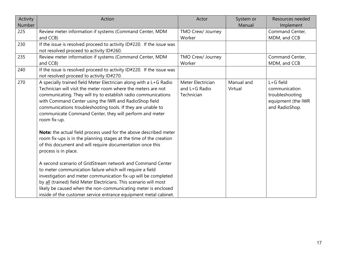| Activity<br>Number | Action                                                                                                                                                                                                                                                                                                                                                                                                                                                                        | Actor                                            | System or<br>Manual   | Resources needed<br>Implement                                                         |
|--------------------|-------------------------------------------------------------------------------------------------------------------------------------------------------------------------------------------------------------------------------------------------------------------------------------------------------------------------------------------------------------------------------------------------------------------------------------------------------------------------------|--------------------------------------------------|-----------------------|---------------------------------------------------------------------------------------|
| 225                | Review meter information if systems (Command Center, MDM<br>and CCB)                                                                                                                                                                                                                                                                                                                                                                                                          | TMO Crew/ Journey<br>Worker                      |                       | Command Center,<br>MDM, and CCB                                                       |
| 230                | If the issue is resolved proceed to activity ID#220. If the issue was<br>not resolved proceed to activity ID#260.                                                                                                                                                                                                                                                                                                                                                             |                                                  |                       |                                                                                       |
| 235                | Review meter information if systems (Command Center, MDM<br>and CCB)                                                                                                                                                                                                                                                                                                                                                                                                          | TMO Crew/ Journey<br>Worker                      |                       | Command Center,<br>MDM, and CCB                                                       |
| 240                | If the issue is resolved proceed to activity ID#220. If the issue was<br>not resolved proceed to activity ID#270.                                                                                                                                                                                                                                                                                                                                                             |                                                  |                       |                                                                                       |
| 270                | A specially trained field Meter Electrician along with a L+G Radio<br>Technician will visit the meter room where the meters are not<br>communicating. They will try to establish radio communications<br>with Command Center using the IWR and RadioShop field<br>communications troubleshooting tools. If they are unable to<br>communicate Command Center, they will perform and meter<br>room fix-up.<br>Note: the actual field process used for the above described meter | Meter Electrician<br>and L+G Radio<br>Technician | Manual and<br>Virtual | L+G field<br>communication<br>troubleshooting<br>equipment (the IWR<br>and RadioShop. |
|                    | room fix-ups is in the planning stages at the time of the creation<br>of this document and will require documentation once this<br>process is in place.                                                                                                                                                                                                                                                                                                                       |                                                  |                       |                                                                                       |
|                    | A second scenario of GridStream network and Command Center<br>to meter communication failure which will require a field<br>investigation and meter communication fix-up will be completed<br>by all (trained) field Meter Electricians. This scenario will most<br>likely be caused when the non-communicating meter is enclosed                                                                                                                                              |                                                  |                       |                                                                                       |
|                    | inside of the customer service entrance equipment metal cabinet.                                                                                                                                                                                                                                                                                                                                                                                                              |                                                  |                       |                                                                                       |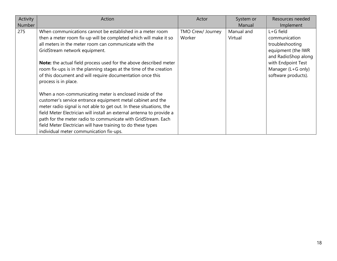| Activity      | Action                                                                | Actor             | System or  | Resources needed    |
|---------------|-----------------------------------------------------------------------|-------------------|------------|---------------------|
| <b>Number</b> |                                                                       |                   | Manual     | Implement           |
| 275           | When communications cannot be established in a meter room             | TMO Crew/ Journey | Manual and | $L + G$ field       |
|               | then a meter room fix-up will be completed which will make it so      | Worker            | Virtual    | communication       |
|               | all meters in the meter room can communicate with the                 |                   |            | troubleshooting     |
|               | GridStream network equipment.                                         |                   |            | equipment (the IWR  |
|               |                                                                       |                   |            | and RadioShop along |
|               | Note: the actual field process used for the above described meter     |                   |            | with Endpoint Test  |
|               | room fix-ups is in the planning stages at the time of the creation    |                   |            | Manager (L+G only)  |
|               | of this document and will require documentation once this             |                   |            | software products). |
|               | process is in place.                                                  |                   |            |                     |
|               |                                                                       |                   |            |                     |
|               | When a non-communicating meter is enclosed inside of the              |                   |            |                     |
|               | customer's service entrance equipment metal cabinet and the           |                   |            |                     |
|               | meter radio signal is not able to get out. In these situations, the   |                   |            |                     |
|               | field Meter Electrician will install an external antenna to provide a |                   |            |                     |
|               | path for the meter radio to communicate with GridStream. Each         |                   |            |                     |
|               | field Meter Electrician will have training to do these types          |                   |            |                     |
|               | individual meter communication fix-ups.                               |                   |            |                     |